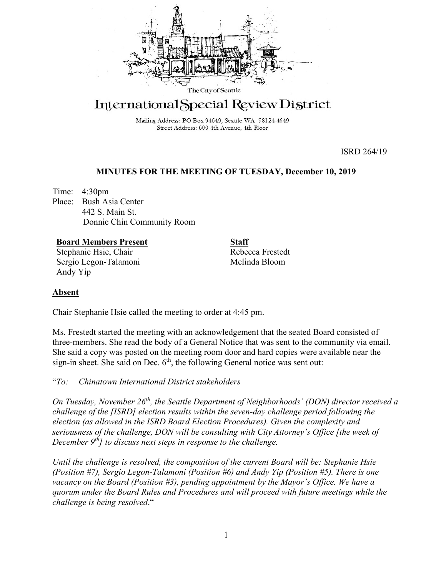

# International Special Review District

Mailing Address: PO Box 94649, Seattle WA 98124-4649 Street Address: 600 4th Avenue, 4th Floor

ISRD 264/19

# **MINUTES FOR THE MEETING OF TUESDAY, December 10, 2019**

Time: 4:30pm Place: Bush Asia Center 442 S. Main St. Donnie Chin Community Room

**Board Members Present** Stephanie Hsie, Chair Sergio Legon-Talamoni Andy Yip

**Staff** Rebecca Frestedt Melinda Bloom

# **Absent**

Chair Stephanie Hsie called the meeting to order at 4:45 pm.

Ms. Frestedt started the meeting with an acknowledgement that the seated Board consisted of three-members. She read the body of a General Notice that was sent to the community via email. She said a copy was posted on the meeting room door and hard copies were available near the sign-in sheet. She said on Dec. 6<sup>th</sup>, the following General notice was sent out:

"*To: Chinatown International District stakeholders*

*On Tuesday, November 26th, the Seattle Department of Neighborhoods' (DON) director received a challenge of the [ISRD] election results within the seven-day challenge period following the election (as allowed in the ISRD Board Election Procedures). Given the complexity and seriousness of the challenge, DON will be consulting with City Attorney's Office [the week of December 9<sup>th</sup>] to discuss next steps in response to the challenge.* 

*Until the challenge is resolved, the composition of the current Board will be: Stephanie Hsie (Position #7), Sergio Legon-Talamoni (Position #6) and Andy Yip (Position #5). There is one vacancy on the Board (Position #3), pending appointment by the Mayor's Office. We have a quorum under the Board Rules and Procedures and will proceed with future meetings while the challenge is being resolved*."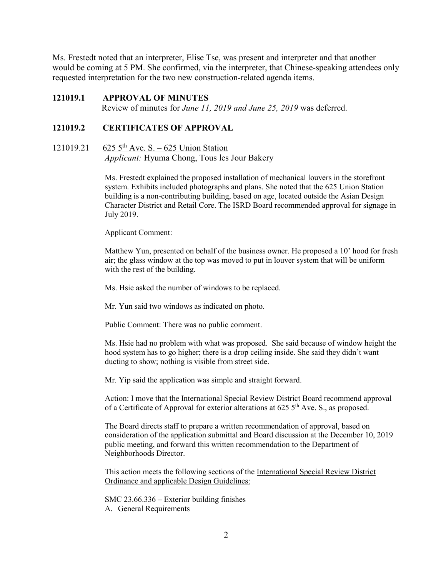Ms. Frestedt noted that an interpreter, Elise Tse, was present and interpreter and that another would be coming at 5 PM. She confirmed, via the interpreter, that Chinese-speaking attendees only requested interpretation for the two new construction-related agenda items.

# **121019.1 APPROVAL OF MINUTES**

Review of minutes for *June 11, 2019 and June 25, 2019* was deferred.

# **121019.2 CERTIFICATES OF APPROVAL**

# 121019.21 625  $5^{th}$  Ave. S. – 625 Union Station *Applicant:* Hyuma Chong, Tous les Jour Bakery

Ms. Frestedt explained the proposed installation of mechanical louvers in the storefront system. Exhibits included photographs and plans. She noted that the 625 Union Station building is a non-contributing building, based on age, located outside the Asian Design Character District and Retail Core. The ISRD Board recommended approval for signage in July 2019.

Applicant Comment:

Matthew Yun, presented on behalf of the business owner. He proposed a 10' hood for fresh air; the glass window at the top was moved to put in louver system that will be uniform with the rest of the building.

Ms. Hsie asked the number of windows to be replaced.

Mr. Yun said two windows as indicated on photo.

Public Comment: There was no public comment.

Ms. Hsie had no problem with what was proposed. She said because of window height the hood system has to go higher; there is a drop ceiling inside. She said they didn't want ducting to show; nothing is visible from street side.

Mr. Yip said the application was simple and straight forward.

Action: I move that the International Special Review District Board recommend approval of a Certificate of Approval for exterior alterations at  $625\,5^{th}$  Ave. S., as proposed.

The Board directs staff to prepare a written recommendation of approval, based on consideration of the application submittal and Board discussion at the December 10, 2019 public meeting, and forward this written recommendation to the Department of Neighborhoods Director.

This action meets the following sections of the International Special Review District Ordinance and applicable Design Guidelines:

SMC 23.66.336 – Exterior building finishes A. General Requirements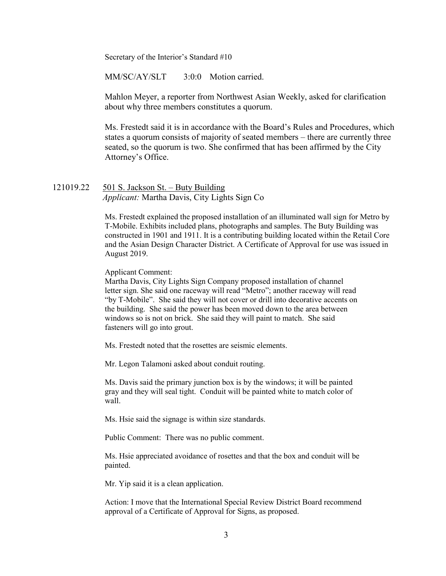Secretary of the Interior's Standard #10

MM/SC/AY/SLT 3:0:0 Motion carried.

Mahlon Meyer, a reporter from Northwest Asian Weekly, asked for clarification about why three members constitutes a quorum.

Ms. Frestedt said it is in accordance with the Board's Rules and Procedures, which states a quorum consists of majority of seated members – there are currently three seated, so the quorum is two. She confirmed that has been affirmed by the City Attorney's Office.

# 121019.22 501 S. Jackson St. – Buty Building *Applicant:* Martha Davis, City Lights Sign Co

Ms. Frestedt explained the proposed installation of an illuminated wall sign for Metro by T-Mobile. Exhibits included plans, photographs and samples. The Buty Building was constructed in 1901 and 1911. It is a contributing building located within the Retail Core and the Asian Design Character District. A Certificate of Approval for use was issued in August 2019.

Applicant Comment:

Martha Davis, City Lights Sign Company proposed installation of channel letter sign. She said one raceway will read "Metro"; another raceway will read "by T-Mobile". She said they will not cover or drill into decorative accents on the building. She said the power has been moved down to the area between windows so is not on brick. She said they will paint to match. She said fasteners will go into grout.

Ms. Frestedt noted that the rosettes are seismic elements.

Mr. Legon Talamoni asked about conduit routing.

Ms. Davis said the primary junction box is by the windows; it will be painted gray and they will seal tight. Conduit will be painted white to match color of wall.

Ms. Hsie said the signage is within size standards.

Public Comment: There was no public comment.

Ms. Hsie appreciated avoidance of rosettes and that the box and conduit will be painted.

Mr. Yip said it is a clean application.

Action: I move that the International Special Review District Board recommend approval of a Certificate of Approval for Signs, as proposed.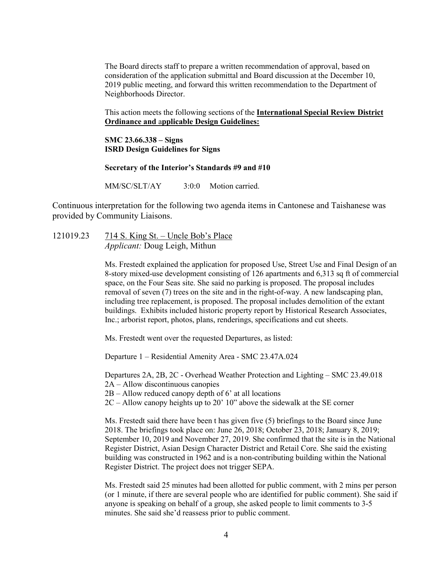The Board directs staff to prepare a written recommendation of approval, based on consideration of the application submittal and Board discussion at the December 10, 2019 public meeting, and forward this written recommendation to the Department of Neighborhoods Director.

This action meets the following sections of the **International Special Review District Ordinance and** a**pplicable Design Guidelines:**

**SMC 23.66.338 – Signs ISRD Design Guidelines for Signs**

### **Secretary of the Interior's Standards #9 and #10**

MM/SC/SLT/AY 3:0:0 Motion carried.

Continuous interpretation for the following two agenda items in Cantonese and Taishanese was provided by Community Liaisons.

121019.23 714 S. King St. – Uncle Bob's Place *Applicant:* Doug Leigh, Mithun

> Ms. Frestedt explained the application for proposed Use, Street Use and Final Design of an 8-story mixed-use development consisting of 126 apartments and 6,313 sq ft of commercial space, on the Four Seas site. She said no parking is proposed. The proposal includes removal of seven (7) trees on the site and in the right-of-way. A new landscaping plan, including tree replacement, is proposed. The proposal includes demolition of the extant buildings. Exhibits included historic property report by Historical Research Associates, Inc.; arborist report, photos, plans, renderings, specifications and cut sheets.

Ms. Frestedt went over the requested Departures, as listed:

Departure 1 – Residential Amenity Area - SMC 23.47A.024

Departures 2A, 2B, 2C - Overhead Weather Protection and Lighting – SMC 23.49.018 2A – Allow discontinuous canopies

 $2B -$  Allow reduced canopy depth of 6' at all locations

2C – Allow canopy heights up to 20' 10" above the sidewalk at the SE corner

Ms. Frestedt said there have been t has given five (5) briefings to the Board since June 2018. The briefings took place on: June 26, 2018; October 23, 2018; January 8, 2019; September 10, 2019 and November 27, 2019. She confirmed that the site is in the National Register District, Asian Design Character District and Retail Core. She said the existing building was constructed in 1962 and is a non-contributing building within the National Register District. The project does not trigger SEPA.

Ms. Frestedt said 25 minutes had been allotted for public comment, with 2 mins per person (or 1 minute, if there are several people who are identified for public comment). She said if anyone is speaking on behalf of a group, she asked people to limit comments to 3-5 minutes. She said she'd reassess prior to public comment.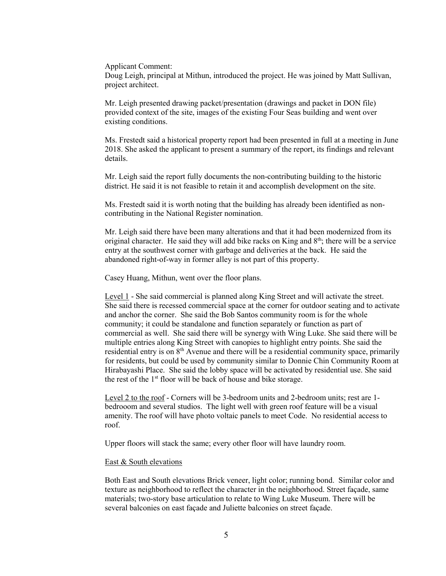Applicant Comment:

Doug Leigh, principal at Mithun, introduced the project. He was joined by Matt Sullivan, project architect.

Mr. Leigh presented drawing packet/presentation (drawings and packet in DON file) provided context of the site, images of the existing Four Seas building and went over existing conditions.

Ms. Frestedt said a historical property report had been presented in full at a meeting in June 2018. She asked the applicant to present a summary of the report, its findings and relevant details.

Mr. Leigh said the report fully documents the non-contributing building to the historic district. He said it is not feasible to retain it and accomplish development on the site.

Ms. Frestedt said it is worth noting that the building has already been identified as noncontributing in the National Register nomination.

Mr. Leigh said there have been many alterations and that it had been modernized from its original character. He said they will add bike racks on King and  $8<sup>th</sup>$ ; there will be a service entry at the southwest corner with garbage and deliveries at the back. He said the abandoned right-of-way in former alley is not part of this property.

Casey Huang, Mithun, went over the floor plans.

Level 1 - She said commercial is planned along King Street and will activate the street. She said there is recessed commercial space at the corner for outdoor seating and to activate and anchor the corner. She said the Bob Santos community room is for the whole community; it could be standalone and function separately or function as part of commercial as well. She said there will be synergy with Wing Luke. She said there will be multiple entries along King Street with canopies to highlight entry points. She said the residential entry is on 8<sup>th</sup> Avenue and there will be a residential community space, primarily for residents, but could be used by community similar to Donnie Chin Community Room at Hirabayashi Place. She said the lobby space will be activated by residential use. She said the rest of the 1st floor will be back of house and bike storage.

Level 2 to the roof - Corners will be 3-bedroom units and 2-bedroom units; rest are 1 bedrooom and several studios. The light well with green roof feature will be a visual amenity. The roof will have photo voltaic panels to meet Code. No residential access to roof.

Upper floors will stack the same; every other floor will have laundry room.

#### East & South elevations

Both East and South elevations Brick veneer, light color; running bond. Similar color and texture as neighborhood to reflect the character in the neighborhood. Street façade, same materials; two-story base articulation to relate to Wing Luke Museum. There will be several balconies on east façade and Juliette balconies on street façade.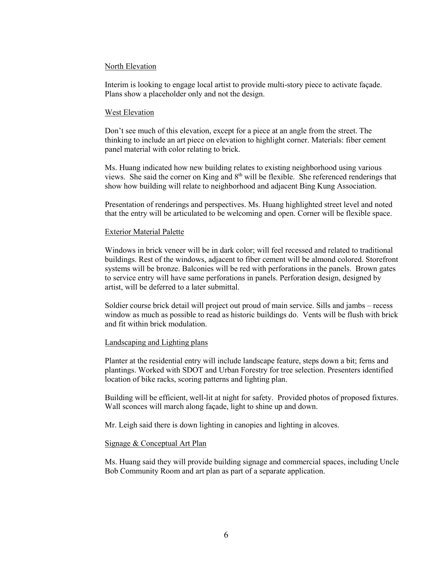#### North Elevation

Interim is looking to engage local artist to provide multi-story piece to activate façade. Plans show a placeholder only and not the design.

#### West Elevation

Don't see much of this elevation, except for a piece at an angle from the street. The thinking to include an art piece on elevation to highlight corner. Materials: fiber cement panel material with color relating to brick.

Ms. Huang indicated how new building relates to existing neighborhood using various views. She said the corner on King and  $8<sup>th</sup>$  will be flexible. She referenced renderings that show how building will relate to neighborhood and adjacent Bing Kung Association.

Presentation of renderings and perspectives. Ms. Huang highlighted street level and noted that the entry will be articulated to be welcoming and open. Corner will be flexible space.

#### Exterior Material Palette

Windows in brick veneer will be in dark color; will feel recessed and related to traditional buildings. Rest of the windows, adjacent to fiber cement will be almond colored. Storefront systems will be bronze. Balconies will be red with perforations in the panels. Brown gates to service entry will have same perforations in panels. Perforation design, designed by artist, will be deferred to a later submittal.

Soldier course brick detail will project out proud of main service. Sills and jambs – recess window as much as possible to read as historic buildings do. Vents will be flush with brick and fit within brick modulation.

#### Landscaping and Lighting plans

Planter at the residential entry will include landscape feature, steps down a bit; ferns and plantings. Worked with SDOT and Urban Forestry for tree selection. Presenters identified location of bike racks, scoring patterns and lighting plan.

Building will be efficient, well-lit at night for safety. Provided photos of proposed fixtures. Wall sconces will march along façade, light to shine up and down.

Mr. Leigh said there is down lighting in canopies and lighting in alcoves.

#### Signage & Conceptual Art Plan

Ms. Huang said they will provide building signage and commercial spaces, including Uncle Bob Community Room and art plan as part of a separate application.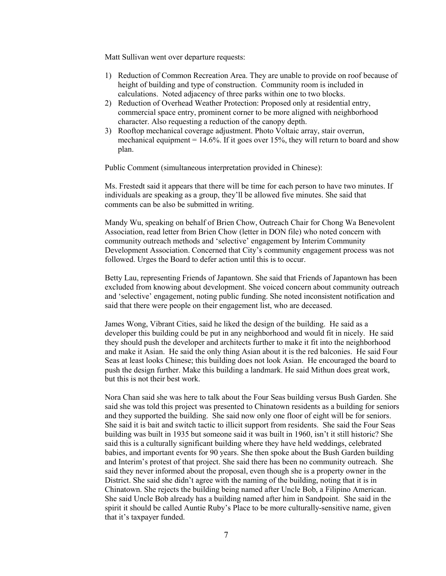Matt Sullivan went over departure requests:

- 1) Reduction of Common Recreation Area. They are unable to provide on roof because of height of building and type of construction. Community room is included in calculations. Noted adjacency of three parks within one to two blocks.
- 2) Reduction of Overhead Weather Protection: Proposed only at residential entry, commercial space entry, prominent corner to be more aligned with neighborhood character. Also requesting a reduction of the canopy depth.
- 3) Rooftop mechanical coverage adjustment. Photo Voltaic array, stair overrun, mechanical equipment =  $14.6\%$ . If it goes over 15%, they will return to board and show plan.

Public Comment (simultaneous interpretation provided in Chinese):

Ms. Frestedt said it appears that there will be time for each person to have two minutes. If individuals are speaking as a group, they'll be allowed five minutes. She said that comments can be also be submitted in writing.

Mandy Wu, speaking on behalf of Brien Chow, Outreach Chair for Chong Wa Benevolent Association, read letter from Brien Chow (letter in DON file) who noted concern with community outreach methods and 'selective' engagement by Interim Community Development Association. Concerned that City's community engagement process was not followed. Urges the Board to defer action until this is to occur.

Betty Lau, representing Friends of Japantown. She said that Friends of Japantown has been excluded from knowing about development. She voiced concern about community outreach and 'selective' engagement, noting public funding. She noted inconsistent notification and said that there were people on their engagement list, who are deceased.

James Wong, Vibrant Cities, said he liked the design of the building. He said as a developer this building could be put in any neighborhood and would fit in nicely. He said they should push the developer and architects further to make it fit into the neighborhood and make it Asian. He said the only thing Asian about it is the red balconies. He said Four Seas at least looks Chinese; this building does not look Asian. He encouraged the board to push the design further. Make this building a landmark. He said Mithun does great work, but this is not their best work.

Nora Chan said she was here to talk about the Four Seas building versus Bush Garden. She said she was told this project was presented to Chinatown residents as a building for seniors and they supported the building. She said now only one floor of eight will be for seniors. She said it is bait and switch tactic to illicit support from residents. She said the Four Seas building was built in 1935 but someone said it was built in 1960, isn't it still historic? She said this is a culturally significant building where they have held weddings, celebrated babies, and important events for 90 years. She then spoke about the Bush Garden building and Interim's protest of that project. She said there has been no community outreach. She said they never informed about the proposal, even though she is a property owner in the District. She said she didn't agree with the naming of the building, noting that it is in Chinatown. She rejects the building being named after Uncle Bob, a Filipino American. She said Uncle Bob already has a building named after him in Sandpoint. She said in the spirit it should be called Auntie Ruby's Place to be more culturally-sensitive name, given that it's taxpayer funded.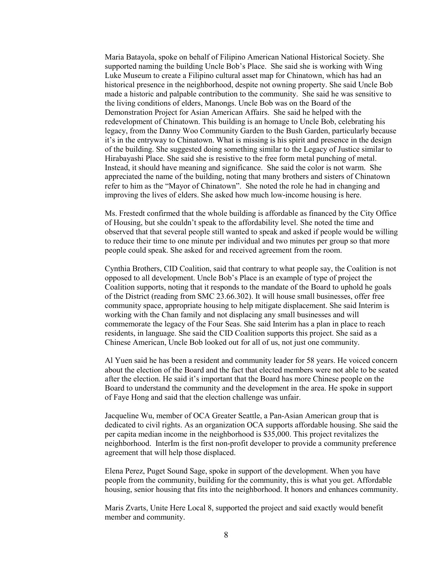Maria Batayola, spoke on behalf of Filipino American National Historical Society. She supported naming the building Uncle Bob's Place. She said she is working with Wing Luke Museum to create a Filipino cultural asset map for Chinatown, which has had an historical presence in the neighborhood, despite not owning property. She said Uncle Bob made a historic and palpable contribution to the community. She said he was sensitive to the living conditions of elders, Manongs. Uncle Bob was on the Board of the Demonstration Project for Asian American Affairs. She said he helped with the redevelopment of Chinatown. This building is an homage to Uncle Bob, celebrating his legacy, from the Danny Woo Community Garden to the Bush Garden, particularly because it's in the entryway to Chinatown. What is missing is his spirit and presence in the design of the building. She suggested doing something similar to the Legacy of Justice similar to Hirabayashi Place. She said she is resistive to the free form metal punching of metal. Instead, it should have meaning and significance. She said the color is not warm. She appreciated the name of the building, noting that many brothers and sisters of Chinatown refer to him as the "Mayor of Chinatown". She noted the role he had in changing and improving the lives of elders. She asked how much low-income housing is here.

Ms. Frestedt confirmed that the whole building is affordable as financed by the City Office of Housing, but she couldn't speak to the affordability level. She noted the time and observed that that several people still wanted to speak and asked if people would be willing to reduce their time to one minute per individual and two minutes per group so that more people could speak. She asked for and received agreement from the room.

Cynthia Brothers, CID Coalition, said that contrary to what people say, the Coalition is not opposed to all development. Uncle Bob's Place is an example of type of project the Coalition supports, noting that it responds to the mandate of the Board to uphold he goals of the District (reading from SMC 23.66.302). It will house small businesses, offer free community space, appropriate housing to help mitigate displacement. She said Interim is working with the Chan family and not displacing any small businesses and will commemorate the legacy of the Four Seas. She said Interim has a plan in place to reach residents, in language. She said the CID Coalition supports this project. She said as a Chinese American, Uncle Bob looked out for all of us, not just one community.

Al Yuen said he has been a resident and community leader for 58 years. He voiced concern about the election of the Board and the fact that elected members were not able to be seated after the election. He said it's important that the Board has more Chinese people on the Board to understand the community and the development in the area. He spoke in support of Faye Hong and said that the election challenge was unfair.

Jacqueline Wu, member of OCA Greater Seattle, a Pan-Asian American group that is dedicated to civil rights. As an organization OCA supports affordable housing. She said the per capita median income in the neighborhood is \$35,000. This project revitalizes the neighborhood. InterIm is the first non-profit developer to provide a community preference agreement that will help those displaced.

Elena Perez, Puget Sound Sage, spoke in support of the development. When you have people from the community, building for the community, this is what you get. Affordable housing, senior housing that fits into the neighborhood. It honors and enhances community.

Maris Zvarts, Unite Here Local 8, supported the project and said exactly would benefit member and community.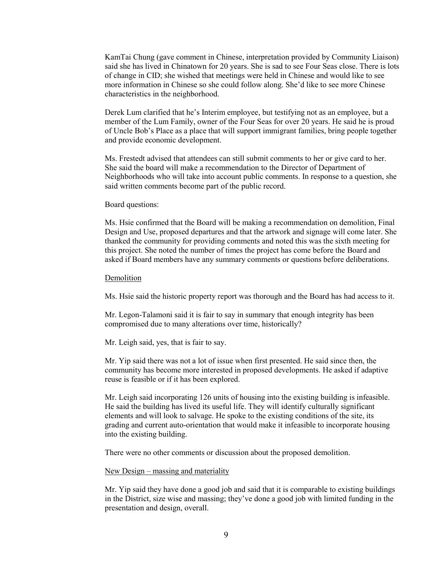KamTai Chung (gave comment in Chinese, interpretation provided by Community Liaison) said she has lived in Chinatown for 20 years. She is sad to see Four Seas close. There is lots of change in CID; she wished that meetings were held in Chinese and would like to see more information in Chinese so she could follow along. She'd like to see more Chinese characteristics in the neighborhood.

Derek Lum clarified that he's Interim employee, but testifying not as an employee, but a member of the Lum Family, owner of the Four Seas for over 20 years. He said he is proud of Uncle Bob's Place as a place that will support immigrant families, bring people together and provide economic development.

Ms. Frestedt advised that attendees can still submit comments to her or give card to her. She said the board will make a recommendation to the Director of Department of Neighborhoods who will take into account public comments. In response to a question, she said written comments become part of the public record.

#### Board questions:

Ms. Hsie confirmed that the Board will be making a recommendation on demolition, Final Design and Use, proposed departures and that the artwork and signage will come later. She thanked the community for providing comments and noted this was the sixth meeting for this project. She noted the number of times the project has come before the Board and asked if Board members have any summary comments or questions before deliberations.

#### Demolition

Ms. Hsie said the historic property report was thorough and the Board has had access to it.

Mr. Legon-Talamoni said it is fair to say in summary that enough integrity has been compromised due to many alterations over time, historically?

Mr. Leigh said, yes, that is fair to say.

Mr. Yip said there was not a lot of issue when first presented. He said since then, the community has become more interested in proposed developments. He asked if adaptive reuse is feasible or if it has been explored.

Mr. Leigh said incorporating 126 units of housing into the existing building is infeasible. He said the building has lived its useful life. They will identify culturally significant elements and will look to salvage. He spoke to the existing conditions of the site, its grading and current auto-orientation that would make it infeasible to incorporate housing into the existing building.

There were no other comments or discussion about the proposed demolition.

#### New Design – massing and materiality

Mr. Yip said they have done a good job and said that it is comparable to existing buildings in the District, size wise and massing; they've done a good job with limited funding in the presentation and design, overall.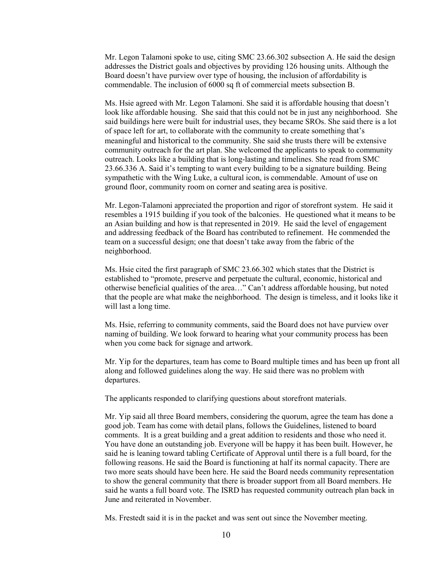Mr. Legon Talamoni spoke to use, citing SMC 23.66.302 subsection A. He said the design addresses the District goals and objectives by providing 126 housing units. Although the Board doesn't have purview over type of housing, the inclusion of affordability is commendable. The inclusion of 6000 sq ft of commercial meets subsection B.

Ms. Hsie agreed with Mr. Legon Talamoni. She said it is affordable housing that doesn't look like affordable housing. She said that this could not be in just any neighborhood. She said buildings here were built for industrial uses, they became SROs. She said there is a lot of space left for art, to collaborate with the community to create something that's meaningful and historical to the community. She said she trusts there will be extensive community outreach for the art plan. She welcomed the applicants to speak to community outreach. Looks like a building that is long-lasting and timelines. She read from SMC 23.66.336 A. Said it's tempting to want every building to be a signature building. Being sympathetic with the Wing Luke, a cultural icon, is commendable. Amount of use on ground floor, community room on corner and seating area is positive.

Mr. Legon-Talamoni appreciated the proportion and rigor of storefront system. He said it resembles a 1915 building if you took of the balconies. He questioned what it means to be an Asian building and how is that represented in 2019. He said the level of engagement and addressing feedback of the Board has contributed to refinement. He commended the team on a successful design; one that doesn't take away from the fabric of the neighborhood.

Ms. Hsie cited the first paragraph of SMC 23.66.302 which states that the District is established to "promote, preserve and perpetuate the cultural, economic, historical and otherwise beneficial qualities of the area…" Can't address affordable housing, but noted that the people are what make the neighborhood. The design is timeless, and it looks like it will last a long time.

Ms. Hsie, referring to community comments, said the Board does not have purview over naming of building. We look forward to hearing what your community process has been when you come back for signage and artwork.

Mr. Yip for the departures, team has come to Board multiple times and has been up front all along and followed guidelines along the way. He said there was no problem with departures.

The applicants responded to clarifying questions about storefront materials.

Mr. Yip said all three Board members, considering the quorum, agree the team has done a good job. Team has come with detail plans, follows the Guidelines, listened to board comments. It is a great building and a great addition to residents and those who need it. You have done an outstanding job. Everyone will be happy it has been built. However, he said he is leaning toward tabling Certificate of Approval until there is a full board, for the following reasons. He said the Board is functioning at half its normal capacity. There are two more seats should have been here. He said the Board needs community representation to show the general community that there is broader support from all Board members. He said he wants a full board vote. The ISRD has requested community outreach plan back in June and reiterated in November.

Ms. Frestedt said it is in the packet and was sent out since the November meeting.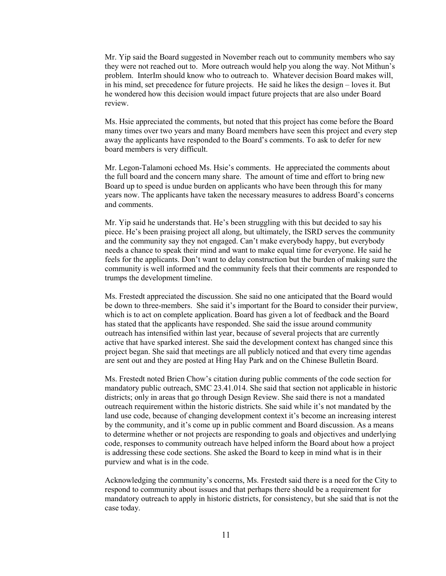Mr. Yip said the Board suggested in November reach out to community members who say they were not reached out to. More outreach would help you along the way. Not Mithun's problem. InterIm should know who to outreach to. Whatever decision Board makes will, in his mind, set precedence for future projects. He said he likes the design – loves it. But he wondered how this decision would impact future projects that are also under Board review.

Ms. Hsie appreciated the comments, but noted that this project has come before the Board many times over two years and many Board members have seen this project and every step away the applicants have responded to the Board's comments. To ask to defer for new board members is very difficult.

Mr. Legon-Talamoni echoed Ms. Hsie's comments. He appreciated the comments about the full board and the concern many share. The amount of time and effort to bring new Board up to speed is undue burden on applicants who have been through this for many years now. The applicants have taken the necessary measures to address Board's concerns and comments.

Mr. Yip said he understands that. He's been struggling with this but decided to say his piece. He's been praising project all along, but ultimately, the ISRD serves the community and the community say they not engaged. Can't make everybody happy, but everybody needs a chance to speak their mind and want to make equal time for everyone. He said he feels for the applicants. Don't want to delay construction but the burden of making sure the community is well informed and the community feels that their comments are responded to trumps the development timeline.

Ms. Frestedt appreciated the discussion. She said no one anticipated that the Board would be down to three-members. She said it's important for the Board to consider their purview, which is to act on complete application. Board has given a lot of feedback and the Board has stated that the applicants have responded. She said the issue around community outreach has intensified within last year, because of several projects that are currently active that have sparked interest. She said the development context has changed since this project began. She said that meetings are all publicly noticed and that every time agendas are sent out and they are posted at Hing Hay Park and on the Chinese Bulletin Board.

Ms. Frestedt noted Brien Chow's citation during public comments of the code section for mandatory public outreach, SMC 23.41.014. She said that section not applicable in historic districts; only in areas that go through Design Review. She said there is not a mandated outreach requirement within the historic districts. She said while it's not mandated by the land use code, because of changing development context it's become an increasing interest by the community, and it's come up in public comment and Board discussion. As a means to determine whether or not projects are responding to goals and objectives and underlying code, responses to community outreach have helped inform the Board about how a project is addressing these code sections. She asked the Board to keep in mind what is in their purview and what is in the code.

Acknowledging the community's concerns, Ms. Frestedt said there is a need for the City to respond to community about issues and that perhaps there should be a requirement for mandatory outreach to apply in historic districts, for consistency, but she said that is not the case today.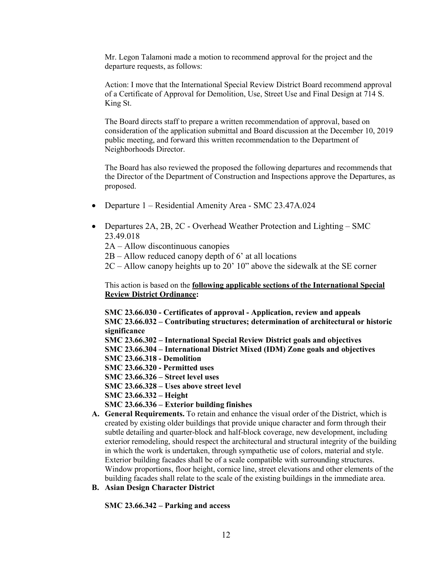Mr. Legon Talamoni made a motion to recommend approval for the project and the departure requests, as follows:

Action: I move that the International Special Review District Board recommend approval of a Certificate of Approval for Demolition, Use, Street Use and Final Design at 714 S. King St.

The Board directs staff to prepare a written recommendation of approval, based on consideration of the application submittal and Board discussion at the December 10, 2019 public meeting, and forward this written recommendation to the Department of Neighborhoods Director.

The Board has also reviewed the proposed the following departures and recommends that the Director of the Department of Construction and Inspections approve the Departures, as proposed.

- Departure 1 Residential Amenity Area SMC 23.47A.024
- Departures 2A, 2B, 2C Overhead Weather Protection and Lighting SMC 23.49.018
	- 2A Allow discontinuous canopies
	- $2B -$ Allow reduced canopy depth of 6' at all locations
	- 2C Allow canopy heights up to 20' 10" above the sidewalk at the SE corner

This action is based on the **following applicable sections of the International Special Review District Ordinance:** 

**SMC 23.66.030 - Certificates of approval - Application, review and appeals SMC 23.66.032 – Contributing structures; determination of architectural or historic significance**

- **SMC 23.66.302 – International Special Review District goals and objectives**
- **SMC 23.66.304 – International District Mixed (IDM) Zone goals and objectives**
- **SMC 23.66.318 - Demolition**
- **SMC 23.66.320 - Permitted uses**
- **SMC 23.66.326 – Street level uses**
- **SMC 23.66.328 – Uses above street level**
- **SMC 23.66.332 – Height**
- **SMC 23.66.336 – Exterior building finishes**
- **A. General Requirements.** To retain and enhance the visual order of the District, which is created by existing older buildings that provide unique character and form through their subtle detailing and quarter-block and half-block coverage, new development, including exterior remodeling, should respect the architectural and structural integrity of the building in which the work is undertaken, through sympathetic use of colors, material and style. Exterior building facades shall be of a scale compatible with surrounding structures. Window proportions, floor height, cornice line, street elevations and other elements of the building facades shall relate to the scale of the existing buildings in the immediate area.
- **B. Asian Design Character District**

**SMC 23.66.342 – Parking and access**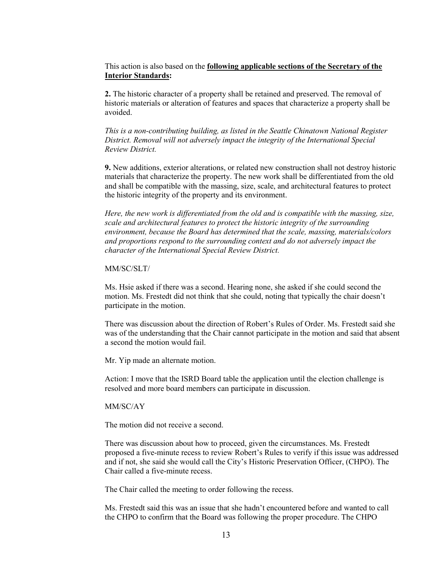This action is also based on the **following applicable sections of the Secretary of the Interior Standards:**

**2.** The historic character of a property shall be retained and preserved. The removal of historic materials or alteration of features and spaces that characterize a property shall be avoided.

*This is a non-contributing building, as listed in the Seattle Chinatown National Register District. Removal will not adversely impact the integrity of the International Special Review District.* 

**9.** New additions, exterior alterations, or related new construction shall not destroy historic materials that characterize the property. The new work shall be differentiated from the old and shall be compatible with the massing, size, scale, and architectural features to protect the historic integrity of the property and its environment.

*Here, the new work is differentiated from the old and is compatible with the massing, size, scale and architectural features to protect the historic integrity of the surrounding environment, because the Board has determined that the scale, massing, materials/colors and proportions respond to the surrounding context and do not adversely impact the character of the International Special Review District.* 

### MM/SC/SLT/

Ms. Hsie asked if there was a second. Hearing none, she asked if she could second the motion. Ms. Frestedt did not think that she could, noting that typically the chair doesn't participate in the motion.

There was discussion about the direction of Robert's Rules of Order. Ms. Frestedt said she was of the understanding that the Chair cannot participate in the motion and said that absent a second the motion would fail.

Mr. Yip made an alternate motion.

Action: I move that the ISRD Board table the application until the election challenge is resolved and more board members can participate in discussion.

#### MM/SC/AY

The motion did not receive a second.

There was discussion about how to proceed, given the circumstances. Ms. Frestedt proposed a five-minute recess to review Robert's Rules to verify if this issue was addressed and if not, she said she would call the City's Historic Preservation Officer, (CHPO). The Chair called a five-minute recess.

The Chair called the meeting to order following the recess.

Ms. Frestedt said this was an issue that she hadn't encountered before and wanted to call the CHPO to confirm that the Board was following the proper procedure. The CHPO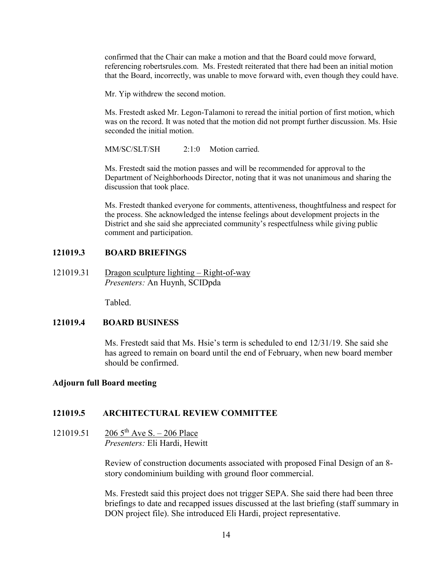confirmed that the Chair can make a motion and that the Board could move forward, referencing robertsrules.com. Ms. Frestedt reiterated that there had been an initial motion that the Board, incorrectly, was unable to move forward with, even though they could have.

Mr. Yip withdrew the second motion.

Ms. Frestedt asked Mr. Legon-Talamoni to reread the initial portion of first motion, which was on the record. It was noted that the motion did not prompt further discussion. Ms. Hsie seconded the initial motion.

MM/SC/SLT/SH  $2:1:0$  Motion carried.

Ms. Frestedt said the motion passes and will be recommended for approval to the Department of Neighborhoods Director, noting that it was not unanimous and sharing the discussion that took place.

Ms. Frestedt thanked everyone for comments, attentiveness, thoughtfulness and respect for the process. She acknowledged the intense feelings about development projects in the District and she said she appreciated community's respectfulness while giving public comment and participation.

# **121019.3 BOARD BRIEFINGS**

121019.31 Dragon sculpture lighting – Right-of-way *Presenters:* An Huynh, SCIDpda

Tabled.

### **121019.4 BOARD BUSINESS**

Ms. Frestedt said that Ms. Hsie's term is scheduled to end 12/31/19. She said she has agreed to remain on board until the end of February, when new board member should be confirmed.

### **Adjourn full Board meeting**

### **121019.5 ARCHITECTURAL REVIEW COMMITTEE**

121019.51 206  $5^{th}$  Ave S. – 206 Place *Presenters:* Eli Hardi, Hewitt

> Review of construction documents associated with proposed Final Design of an 8 story condominium building with ground floor commercial.

Ms. Frestedt said this project does not trigger SEPA. She said there had been three briefings to date and recapped issues discussed at the last briefing (staff summary in DON project file). She introduced Eli Hardi, project representative.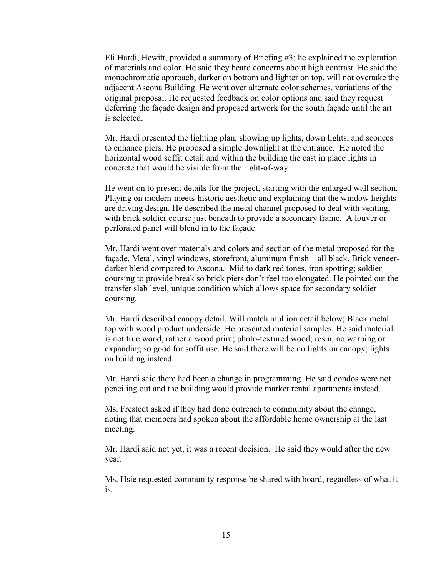Eli Hardi, Hewitt, provided a summary of Briefing #3; he explained the exploration of materials and color. He said they heard concerns about high contrast. He said the monochromatic approach, darker on bottom and lighter on top, will not overtake the adjacent Ascona Building. He went over alternate color schemes, variations of the original proposal. He requested feedback on color options and said they request deferring the façade design and proposed artwork for the south façade until the art is selected.

Mr. Hardi presented the lighting plan, showing up lights, down lights, and sconces to enhance piers. He proposed a simple downlight at the entrance. He noted the horizontal wood soffit detail and within the building the cast in place lights in concrete that would be visible from the right-of-way.

He went on to present details for the project, starting with the enlarged wall section. Playing on modern-meets-historic aesthetic and explaining that the window heights are driving design. He described the metal channel proposed to deal with venting, with brick soldier course just beneath to provide a secondary frame. A louver or perforated panel will blend in to the façade.

Mr. Hardi went over materials and colors and section of the metal proposed for the façade. Metal, vinyl windows, storefront, aluminum finish – all black. Brick veneerdarker blend compared to Ascona. Mid to dark red tones, iron spotting; soldier coursing to provide break so brick piers don't feel too elongated. He pointed out the transfer slab level, unique condition which allows space for secondary soldier coursing.

Mr. Hardi described canopy detail. Will match mullion detail below; Black metal top with wood product underside. He presented material samples. He said material is not true wood, rather a wood print; photo-textured wood; resin, no warping or expanding so good for soffit use. He said there will be no lights on canopy; lights on building instead.

Mr. Hardi said there had been a change in programming. He said condos were not penciling out and the building would provide market rental apartments instead.

Ms. Frestedt asked if they had done outreach to community about the change, noting that members had spoken about the affordable home ownership at the last meeting.

Mr. Hardi said not yet, it was a recent decision. He said they would after the new year.

Ms. Hsie requested community response be shared with board, regardless of what it is.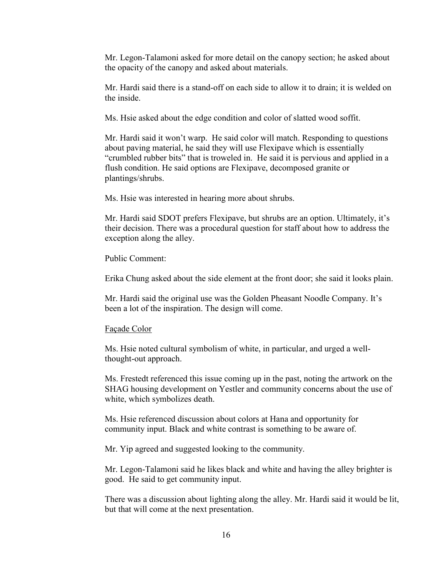Mr. Legon-Talamoni asked for more detail on the canopy section; he asked about the opacity of the canopy and asked about materials.

Mr. Hardi said there is a stand-off on each side to allow it to drain; it is welded on the inside.

Ms. Hsie asked about the edge condition and color of slatted wood soffit.

Mr. Hardi said it won't warp. He said color will match. Responding to questions about paving material, he said they will use Flexipave which is essentially "crumbled rubber bits" that is troweled in. He said it is pervious and applied in a flush condition. He said options are Flexipave, decomposed granite or plantings/shrubs.

Ms. Hsie was interested in hearing more about shrubs.

Mr. Hardi said SDOT prefers Flexipave, but shrubs are an option. Ultimately, it's their decision. There was a procedural question for staff about how to address the exception along the alley.

Public Comment:

Erika Chung asked about the side element at the front door; she said it looks plain.

Mr. Hardi said the original use was the Golden Pheasant Noodle Company. It's been a lot of the inspiration. The design will come.

### Façade Color

Ms. Hsie noted cultural symbolism of white, in particular, and urged a wellthought-out approach.

Ms. Frestedt referenced this issue coming up in the past, noting the artwork on the SHAG housing development on Yestler and community concerns about the use of white, which symbolizes death.

Ms. Hsie referenced discussion about colors at Hana and opportunity for community input. Black and white contrast is something to be aware of.

Mr. Yip agreed and suggested looking to the community.

Mr. Legon-Talamoni said he likes black and white and having the alley brighter is good. He said to get community input.

There was a discussion about lighting along the alley. Mr. Hardi said it would be lit, but that will come at the next presentation.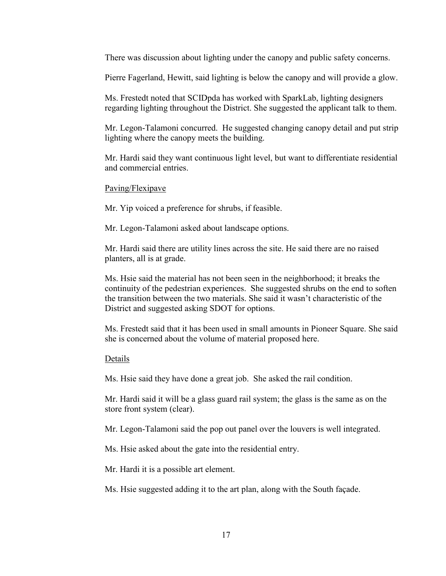There was discussion about lighting under the canopy and public safety concerns.

Pierre Fagerland, Hewitt, said lighting is below the canopy and will provide a glow.

Ms. Frestedt noted that SCIDpda has worked with SparkLab, lighting designers regarding lighting throughout the District. She suggested the applicant talk to them.

Mr. Legon-Talamoni concurred. He suggested changing canopy detail and put strip lighting where the canopy meets the building.

Mr. Hardi said they want continuous light level, but want to differentiate residential and commercial entries.

### Paving/Flexipave

Mr. Yip voiced a preference for shrubs, if feasible.

Mr. Legon-Talamoni asked about landscape options.

Mr. Hardi said there are utility lines across the site. He said there are no raised planters, all is at grade.

Ms. Hsie said the material has not been seen in the neighborhood; it breaks the continuity of the pedestrian experiences. She suggested shrubs on the end to soften the transition between the two materials. She said it wasn't characteristic of the District and suggested asking SDOT for options.

Ms. Frestedt said that it has been used in small amounts in Pioneer Square. She said she is concerned about the volume of material proposed here.

# Details

Ms. Hsie said they have done a great job. She asked the rail condition.

Mr. Hardi said it will be a glass guard rail system; the glass is the same as on the store front system (clear).

Mr. Legon-Talamoni said the pop out panel over the louvers is well integrated.

Ms. Hsie asked about the gate into the residential entry.

Mr. Hardi it is a possible art element.

Ms. Hsie suggested adding it to the art plan, along with the South façade.